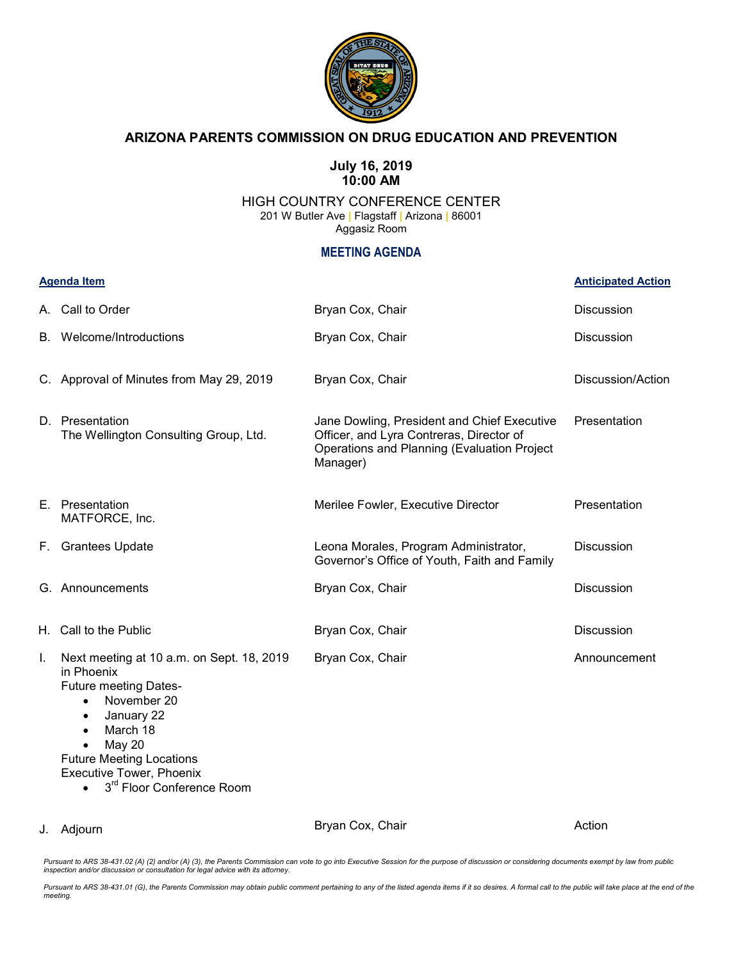

## **ARIZONA PARENTS COMMISSION ON DRUG EDUCATION AND PREVENTION**

## **July 16, 2019 10:00 AM**

## HIGH COUNTRY CONFERENCE CENTER 201 W Butler Ave **|** Flagstaff **|** Arizona **|** 86001 Aggasiz Room

## **MEETING AGENDA**

| <b>Agenda Item</b> |                                                                                                                                                                                                                                                                                                         |                                                                                                                                                    | <b>Anticipated Action</b> |
|--------------------|---------------------------------------------------------------------------------------------------------------------------------------------------------------------------------------------------------------------------------------------------------------------------------------------------------|----------------------------------------------------------------------------------------------------------------------------------------------------|---------------------------|
|                    | A. Call to Order                                                                                                                                                                                                                                                                                        | Bryan Cox, Chair                                                                                                                                   | <b>Discussion</b>         |
| В.                 | Welcome/Introductions                                                                                                                                                                                                                                                                                   | Bryan Cox, Chair                                                                                                                                   | <b>Discussion</b>         |
|                    | C. Approval of Minutes from May 29, 2019                                                                                                                                                                                                                                                                | Bryan Cox, Chair                                                                                                                                   | Discussion/Action         |
|                    | D. Presentation<br>The Wellington Consulting Group, Ltd.                                                                                                                                                                                                                                                | Jane Dowling, President and Chief Executive<br>Officer, and Lyra Contreras, Director of<br>Operations and Planning (Evaluation Project<br>Manager) | Presentation              |
|                    | E. Presentation<br>MATFORCE, Inc.                                                                                                                                                                                                                                                                       | Merilee Fowler, Executive Director                                                                                                                 | Presentation              |
|                    | F. Grantees Update                                                                                                                                                                                                                                                                                      | Leona Morales, Program Administrator,<br>Governor's Office of Youth, Faith and Family                                                              | <b>Discussion</b>         |
|                    | G. Announcements                                                                                                                                                                                                                                                                                        | Bryan Cox, Chair                                                                                                                                   | <b>Discussion</b>         |
|                    | H. Call to the Public                                                                                                                                                                                                                                                                                   | Bryan Cox, Chair                                                                                                                                   | <b>Discussion</b>         |
| Ι.                 | Next meeting at 10 a.m. on Sept. 18, 2019<br>in Phoenix<br><b>Future meeting Dates-</b><br>November 20<br>$\bullet$<br>January 22<br>$\bullet$<br>March 18<br>$\bullet$<br><b>May 20</b><br><b>Future Meeting Locations</b><br><b>Executive Tower, Phoenix</b><br>3 <sup>rd</sup> Floor Conference Room | Bryan Cox, Chair                                                                                                                                   | Announcement              |

J. Adjourn

Bryan Cox, Chair

Action

Pursuant to ARS 38-431.02 (A) (2) and/or (A) (3), the Parents Commission can vote to go into Executive Session for the purpose of discussion or considering documents exempt by law from public<br>inspection and/or discussion o

*Pursuant to ARS 38-431.01 (G), the Parents Commission may obtain public comment pertaining to any of the listed agenda items if it so desires. A formal call to the public will take place at the end of the meeting.*